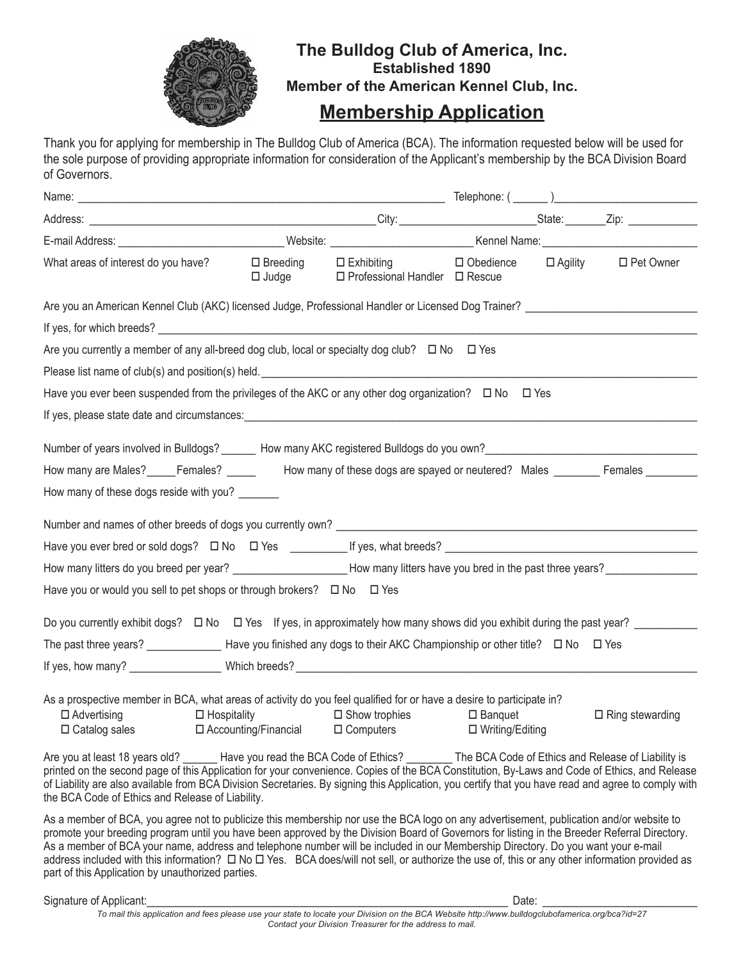

## **The Bulldog Club of America, Inc. Established 1890 Member of the American Kennel Club, Inc.**

## **Membership Application**

Thank you for applying for membership in The Bulldog Club of America (BCA). The information requested below will be used for the sole purpose of providing appropriate information for consideration of the Applicant's membership by the BCA Division Board of Governors.

| E-mail Address: Nebsite: Nebsite: Nebsite: Nebsite: Nebsite: Nebsite: Nebsite: Nebsite: Nebsite: Nebsite: Nebsite: Nebsite: Nebsite: Nebsite: Nebsite: Nebsite: Nebsite: Nebsite: Nebsite: Nebsite: Nebsite: Nebsite: Nebsite:                                                                                                                                                                                                                                                                    |                       |                                                         |                                        |                        |
|---------------------------------------------------------------------------------------------------------------------------------------------------------------------------------------------------------------------------------------------------------------------------------------------------------------------------------------------------------------------------------------------------------------------------------------------------------------------------------------------------|-----------------------|---------------------------------------------------------|----------------------------------------|------------------------|
| What areas of interest do you have?                                                                                                                                                                                                                                                                                                                                                                                                                                                               | □ Breeding<br>□ Judge | $\square$ Exhibiting<br>□ Professional Handler □ Rescue | $\Box$ Obedience $\Box$ Agility        | □ Pet Owner            |
| Are you an American Kennel Club (AKC) licensed Judge, Professional Handler or Licensed Dog Trainer?                                                                                                                                                                                                                                                                                                                                                                                               |                       |                                                         |                                        |                        |
|                                                                                                                                                                                                                                                                                                                                                                                                                                                                                                   |                       |                                                         |                                        |                        |
| Are you currently a member of any all-breed dog club, local or specialty dog club? $\Box$ No $\Box$ Yes                                                                                                                                                                                                                                                                                                                                                                                           |                       |                                                         |                                        |                        |
| Please list name of club(s) and position(s) held. Department of the control of the control of the control of the control of the control of the control of the control of the control of the control of the control of the cont                                                                                                                                                                                                                                                                    |                       |                                                         |                                        |                        |
| Have you ever been suspended from the privileges of the AKC or any other dog organization? $\Box$ No $\Box$ Yes                                                                                                                                                                                                                                                                                                                                                                                   |                       |                                                         |                                        |                        |
| If yes, please state date and circumstances: example and the state of the state of the state of the state of the state of the state of the state of the state of the state of the state of the state of the state of the state                                                                                                                                                                                                                                                                    |                       |                                                         |                                        |                        |
| Number of years involved in Bulldogs? _______ How many AKC registered Bulldogs do you own? __________________                                                                                                                                                                                                                                                                                                                                                                                     |                       |                                                         |                                        |                        |
| How many are Males? Females? How many of these dogs are spayed or neutered? Males Females                                                                                                                                                                                                                                                                                                                                                                                                         |                       |                                                         |                                        |                        |
| How many of these dogs reside with you?                                                                                                                                                                                                                                                                                                                                                                                                                                                           |                       |                                                         |                                        |                        |
| Number and names of other breeds of dogs you currently own?                                                                                                                                                                                                                                                                                                                                                                                                                                       |                       |                                                         |                                        |                        |
|                                                                                                                                                                                                                                                                                                                                                                                                                                                                                                   |                       |                                                         |                                        |                        |
| How many litters do you breed per year? _________________________How many litters have you bred in the past three years? ______________                                                                                                                                                                                                                                                                                                                                                           |                       |                                                         |                                        |                        |
| Have you or would you sell to pet shops or through brokers? $\Box$ No $\Box$ Yes                                                                                                                                                                                                                                                                                                                                                                                                                  |                       |                                                         |                                        |                        |
| Do you currently exhibit dogs? $\Box$ No $\Box$ Yes If yes, in approximately how many shows did you exhibit during the past year?                                                                                                                                                                                                                                                                                                                                                                 |                       |                                                         |                                        |                        |
| The past three years? $\qquad \qquad$ Have you finished any dogs to their AKC Championship or other title? $\Box$ No $\Box$ Yes                                                                                                                                                                                                                                                                                                                                                                   |                       |                                                         |                                        |                        |
|                                                                                                                                                                                                                                                                                                                                                                                                                                                                                                   |                       |                                                         |                                        |                        |
| As a prospective member in BCA, what areas of activity do you feel qualified for or have a desire to participate in?<br>$\Box$ Advertising<br>$\Box$ Catalog sales $\Box$ Accounting/Financial $\Box$ Computers                                                                                                                                                                                                                                                                                   | $\Box$ Hospitality    | $\Box$ Show trophies                                    | $\square$ Banquet<br>□ Writing/Editing | $\Box$ Ring stewarding |
| Are you at least 18 years old? ______ Have you read the BCA Code of Ethics? _______ The BCA Code of Ethics and Release of Liability is<br>printed on the second page of this Application for your convenience. Copies of the BCA Constitution, By-Laws and Code of Ethics, and Release<br>of Liability are also available from BCA Division Secretaries. By signing this Application, you certify that you have read and agree to comply with<br>the BCA Code of Ethics and Release of Liability. |                       |                                                         |                                        |                        |
|                                                                                                                                                                                                                                                                                                                                                                                                                                                                                                   |                       |                                                         |                                        |                        |

As a member of BCA, you agree not to publicize this membership nor use the BCA logo on any advertisement, publication and/or website to promote your breeding program until you have been approved by the Division Board of Governors for listing in the Breeder Referral Directory. As a member of BCA your name, address and telephone number will be included in our Membership Directory. Do you want your e-mail address included with this information?  $\Box$  No  $\Box$  Yes. BCA does/will not sell, or authorize the use of, this or any other information provided as part of this Application by unauthorized parties.

Signature of Applicant: \_\_\_\_\_\_\_\_\_\_\_\_\_\_\_\_\_\_\_\_\_\_\_\_\_\_\_\_\_\_\_\_\_\_\_\_\_\_\_\_\_\_\_\_\_\_\_\_\_\_\_\_\_\_\_\_\_\_\_\_\_\_\_ Date: \_\_\_\_\_\_\_\_\_\_\_\_\_\_\_\_\_\_\_\_\_\_\_\_\_\_\_